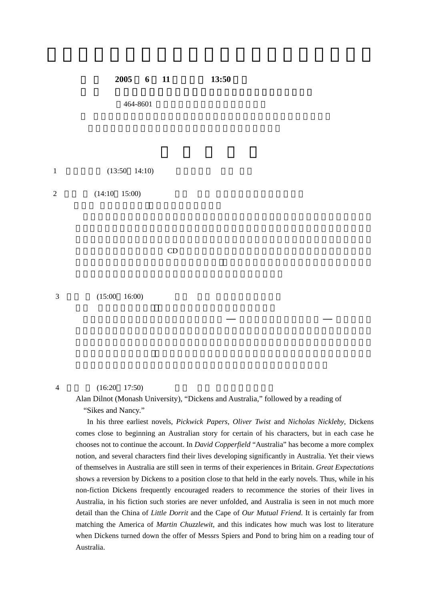## **2005 6** 11 **13:50**

464-8601

 $1$   $(13:50 \quad 14:10)$ 

 $2(14:10 \quad 15:00)$ 

の小説を朗読したテープや CD がその代用品にならないわけではありません。この種の朗

 $3 \t(15:00 \t16:00)$ 

## $4 \hspace{1.5cm} (16:20 \hspace{1.5cm} 17:50)$

Alan Dilnot (Monash University), "Dickens and Australia," followed by a reading of "Sikes and Nancy."

In his three earliest novels, *Pickwick Papers*, *Oliver Twist* and *Nicholas Nickleby*, Dickens comes close to beginning an Australian story for certain of his characters, but in each case he chooses not to continue the account. In *David Copperfield* "Australia" has become a more complex notion, and several characters find their lives developing significantly in Australia. Yet their views of themselves in Australia are still seen in terms of their experiences in Britain. *Great Expectations* shows a reversion by Dickens to a position close to that held in the early novels. Thus, while in his non-fiction Dickens frequently encouraged readers to recommence the stories of their lives in Australia, in his fiction such stories are never unfolded, and Australia is seen in not much more detail than the China of *Little Dorrit* and the Cape of *Our Mutual Friend*. It is certainly far from matching the America of *Martin Chuzzlewit*, and this indicates how much was lost to literature when Dickens turned down the offer of Messrs Spiers and Pond to bring him on a reading tour of Australia.